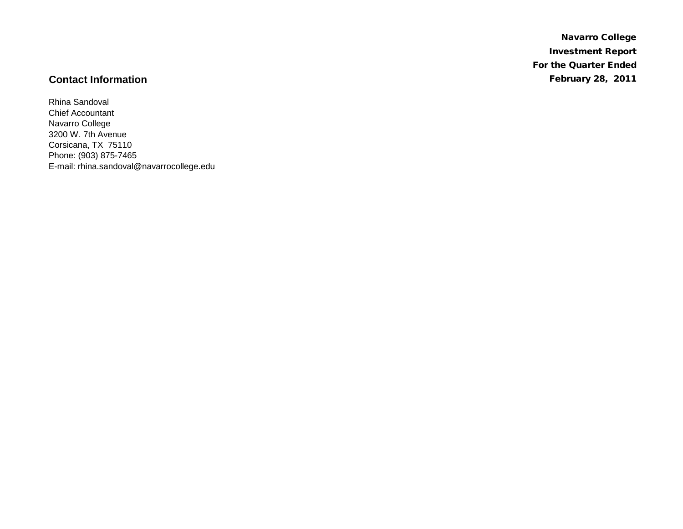Navarro College Investment Report For the Quarter Ended **Contact Information** February 28, 2011

Rhina Sandoval Chief Accountant Navarro College 3200 W. 7th Avenue Corsicana, TX 75110 Phone: (903) 875-7465 E-mail: rhina.sandoval@navarrocollege.edu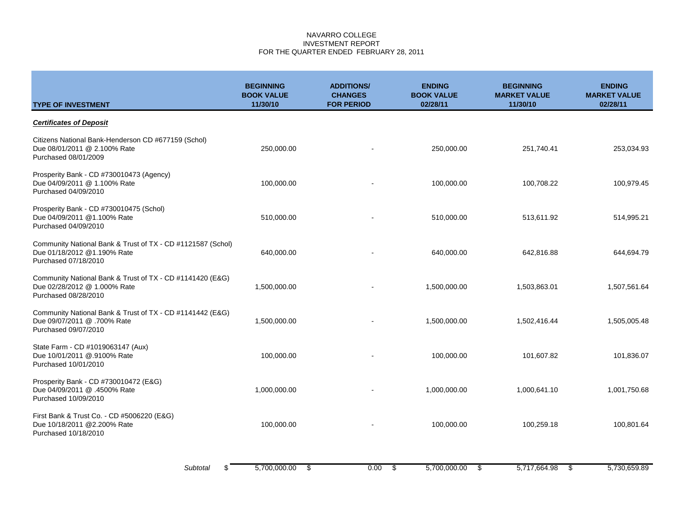# NAVARRO COLLEGE INVESTMENT REPORT FOR THE QUARTER ENDED FEBRUARY 28, 2011

| <b>TYPE OF INVESTMENT</b>                                                                                          | <b>BEGINNING</b><br><b>BOOK VALUE</b><br>11/30/10 | <b>ADDITIONS/</b><br><b>CHANGES</b><br><b>FOR PERIOD</b> | <b>ENDING</b><br><b>BOOK VALUE</b><br>02/28/11 | <b>BEGINNING</b><br><b>MARKET VALUE</b><br>11/30/10 | <b>ENDING</b><br><b>MARKET VALUE</b><br>02/28/11 |
|--------------------------------------------------------------------------------------------------------------------|---------------------------------------------------|----------------------------------------------------------|------------------------------------------------|-----------------------------------------------------|--------------------------------------------------|
| <b>Certificates of Deposit</b>                                                                                     |                                                   |                                                          |                                                |                                                     |                                                  |
| Citizens National Bank-Henderson CD #677159 (Schol)<br>Due 08/01/2011 @ 2.100% Rate<br>Purchased 08/01/2009        | 250,000.00                                        |                                                          | 250,000.00                                     | 251,740.41                                          | 253,034.93                                       |
| Prosperity Bank - CD #730010473 (Agency)<br>Due 04/09/2011 @ 1.100% Rate<br>Purchased 04/09/2010                   | 100,000.00                                        |                                                          | 100,000.00                                     | 100,708.22                                          | 100,979.45                                       |
| Prosperity Bank - CD #730010475 (Schol)<br>Due 04/09/2011 @1.100% Rate<br>Purchased 04/09/2010                     | 510,000.00                                        |                                                          | 510,000.00                                     | 513,611.92                                          | 514,995.21                                       |
| Community National Bank & Trust of TX - CD #1121587 (Schol)<br>Due 01/18/2012 @1.190% Rate<br>Purchased 07/18/2010 | 640,000.00                                        |                                                          | 640,000.00                                     | 642,816.88                                          | 644,694.79                                       |
| Community National Bank & Trust of TX - CD #1141420 (E&G)<br>Due 02/28/2012 @ 1.000% Rate<br>Purchased 08/28/2010  | 1,500,000.00                                      |                                                          | 1,500,000.00                                   | 1,503,863.01                                        | 1,507,561.64                                     |
| Community National Bank & Trust of TX - CD #1141442 (E&G)<br>Due 09/07/2011 @ .700% Rate<br>Purchased 09/07/2010   | 1,500,000.00                                      |                                                          | 1,500,000.00                                   | 1,502,416.44                                        | 1,505,005.48                                     |
| State Farm - CD #1019063147 (Aux)<br>Due 10/01/2011 @.9100% Rate<br>Purchased 10/01/2010                           | 100,000.00                                        |                                                          | 100,000.00                                     | 101,607.82                                          | 101,836.07                                       |
| Prosperity Bank - CD #730010472 (E&G)<br>Due 04/09/2011 @ .4500% Rate<br>Purchased 10/09/2010                      | 1,000,000.00                                      |                                                          | 1,000,000.00                                   | 1,000,641.10                                        | 1,001,750.68                                     |
| First Bank & Trust Co. - CD #5006220 (E&G)<br>Due 10/18/2011 @2.200% Rate<br>Purchased 10/18/2010                  | 100,000.00                                        |                                                          | 100,000.00                                     | 100,259.18                                          | 100,801.64                                       |
| Subtotal<br>ደ                                                                                                      | 5.700.000.00                                      | \$<br>0.00                                               | \$<br>5,700,000.00                             | 5,717,664.98<br>\$                                  | 5.730.659.89<br>\$                               |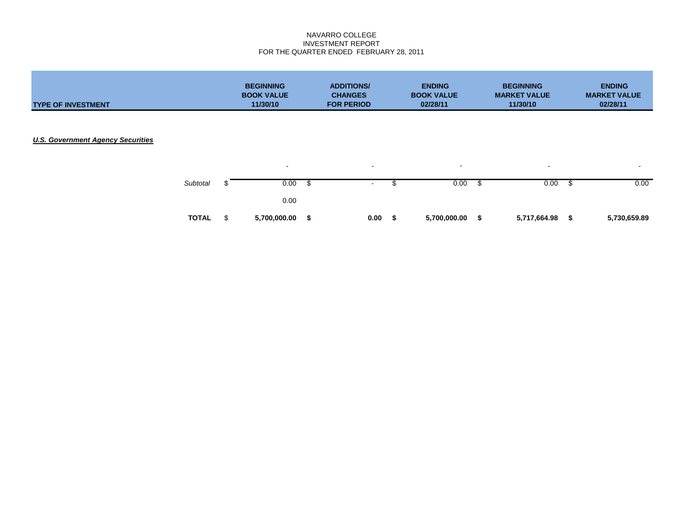# NAVARRO COLLEGE INVESTMENT REPORT FOR THE QUARTER ENDED FEBRUARY 28, 2011

| <b>TYPE OF INVESTMENT</b>                |              | <b>BEGINNING</b><br><b>BOOK VALUE</b><br>11/30/10 |   | <b>ADDITIONS/</b><br><b>CHANGES</b><br><b>FOR PERIOD</b> |      | <b>ENDING</b><br><b>BOOK VALUE</b><br>02/28/11 |      | <b>BEGINNING</b><br><b>MARKET VALUE</b><br>11/30/10 |      | <b>ENDING</b><br><b>MARKET VALUE</b><br>02/28/11 |  |
|------------------------------------------|--------------|---------------------------------------------------|---|----------------------------------------------------------|------|------------------------------------------------|------|-----------------------------------------------------|------|--------------------------------------------------|--|
| <b>U.S. Government Agency Securities</b> |              |                                                   |   |                                                          |      |                                                |      |                                                     |      |                                                  |  |
|                                          | Subtotal     | $\sim$<br>0.00                                    |   | $\sim$<br>$\sim$                                         | S    | $\,$ $\,$<br>0.00                              | - \$ | $\overline{\phantom{a}}$<br>0.00                    | - \$ | $\overline{\phantom{0}}$<br>0.00                 |  |
|                                          | <b>TOTAL</b> | \$<br>0.00<br>5,700,000.00                        | S | 0.00                                                     | - \$ | 5,700,000.00 \$                                |      | 5,717,664.98                                        | - \$ | 5,730,659.89                                     |  |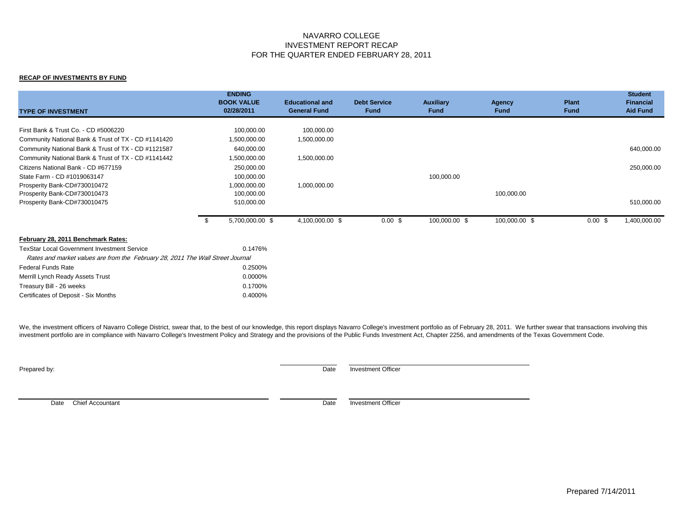# NAVARRO COLLEGE INVESTMENT REPORT RECAP FOR THE QUARTER ENDED FEBRUARY 28, 2011

## **RECAP OF INVESTMENTS BY FUND**

| <b>TYPE OF INVESTMENT</b>                                                      |      | <b>ENDING</b><br><b>BOOK VALUE</b><br>02/28/2011 | <b>Educational and</b><br><b>General Fund</b> | <b>Debt Service</b><br><b>Fund</b> | <b>Auxiliary</b><br><b>Fund</b> | Agency<br>Fund | Plant<br><b>Fund</b> | <b>Student</b><br><b>Financial</b><br><b>Aid Fund</b> |
|--------------------------------------------------------------------------------|------|--------------------------------------------------|-----------------------------------------------|------------------------------------|---------------------------------|----------------|----------------------|-------------------------------------------------------|
| First Bank & Trust Co. - CD #5006220                                           |      | 100,000.00                                       | 100,000.00                                    |                                    |                                 |                |                      |                                                       |
| Community National Bank & Trust of TX - CD #1141420                            |      | 1,500,000.00                                     | 1,500,000.00                                  |                                    |                                 |                |                      |                                                       |
| Community National Bank & Trust of TX - CD #1121587                            |      | 640,000.00                                       |                                               |                                    |                                 |                |                      | 640,000.00                                            |
| Community National Bank & Trust of TX - CD #1141442                            |      | 1,500,000.00                                     | 1,500,000.00                                  |                                    |                                 |                |                      |                                                       |
| Citizens National Bank - CD #677159                                            |      | 250,000.00                                       |                                               |                                    |                                 |                |                      | 250,000.00                                            |
| State Farm - CD #1019063147                                                    |      | 100,000.00                                       |                                               |                                    | 100,000.00                      |                |                      |                                                       |
| Prosperity Bank-CD#730010472                                                   |      | 1,000,000.00                                     | 1,000,000.00                                  |                                    |                                 |                |                      |                                                       |
| Prosperity Bank-CD#730010473                                                   |      | 100,000.00                                       |                                               |                                    |                                 | 100,000.00     |                      |                                                       |
| Prosperity Bank-CD#730010475                                                   |      | 510,000.00                                       |                                               |                                    |                                 |                |                      | 510,000.00                                            |
|                                                                                | - \$ | 5,700,000.00 \$                                  | 4,100,000.00 \$                               | $0.00 \text{ }$ \$                 | 100,000.00 \$                   | 100,000.00 \$  | 0.00~\$              | 1,400,000.00                                          |
| February 28, 2011 Benchmark Rates:                                             |      |                                                  |                                               |                                    |                                 |                |                      |                                                       |
| <b>TexStar Local Government Investment Service</b>                             |      | 0.1476%                                          |                                               |                                    |                                 |                |                      |                                                       |
| Rates and market values are from the February 28, 2011 The Wall Street Journal |      |                                                  |                                               |                                    |                                 |                |                      |                                                       |
| <b>Federal Funds Rate</b>                                                      |      | 0.2500%                                          |                                               |                                    |                                 |                |                      |                                                       |
| Merrill Lynch Ready Assets Trust                                               |      | 0.0000%                                          |                                               |                                    |                                 |                |                      |                                                       |
| Treasury Bill - 26 weeks                                                       |      | 0.1700%                                          |                                               |                                    |                                 |                |                      |                                                       |
| Certificates of Deposit - Six Months                                           |      | 0.4000%                                          |                                               |                                    |                                 |                |                      |                                                       |

We, the investment officers of Navarro College District, swear that, to the best of our knowledge, this report displays Navarro College's investment portfolio as of February 28, 2011. We further swear that transactions inv investment portfolio are in compliance with Navarro College's Investment Policy and Strategy and the provisions of the Public Funds Investment Act, Chapter 2256, and amendments of the Texas Government Code.

Prepared by: Date Investment Officer

Date Chief Accountant **Date** Investment Officer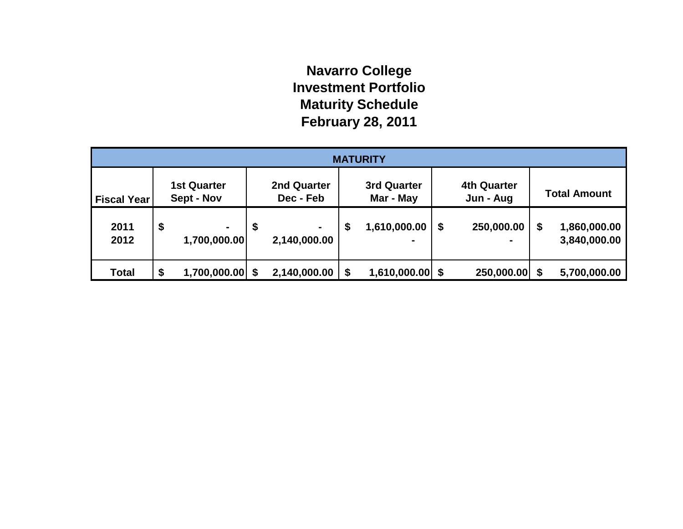# **Navarro College Investment Portfolio Maturity Schedule February 28, 2011**

| <b>MATURITY</b>    |    |                                  |    |                                |    |                          |  |                                 |      |                              |
|--------------------|----|----------------------------------|----|--------------------------------|----|--------------------------|--|---------------------------------|------|------------------------------|
| <b>Fiscal Year</b> |    | <b>1st Quarter</b><br>Sept - Nov |    | 2nd Quarter<br>Dec - Feb       |    | 3rd Quarter<br>Mar - May |  | <b>4th Quarter</b><br>Jun - Aug |      | <b>Total Amount</b>          |
| 2011<br>2012       | \$ | $\blacksquare$<br>1,700,000.00   | \$ | $\blacksquare$<br>2,140,000.00 | \$ | 1,610,000.00             |  | 250,000.00                      | \$   | 1,860,000.00<br>3,840,000.00 |
| <b>Total</b>       | \$ | 1,700,000.00                     |    | 2,140,000.00                   | \$ | $1,610,000.00$ \$        |  | 250,000.00                      | - \$ | 5,700,000.00                 |